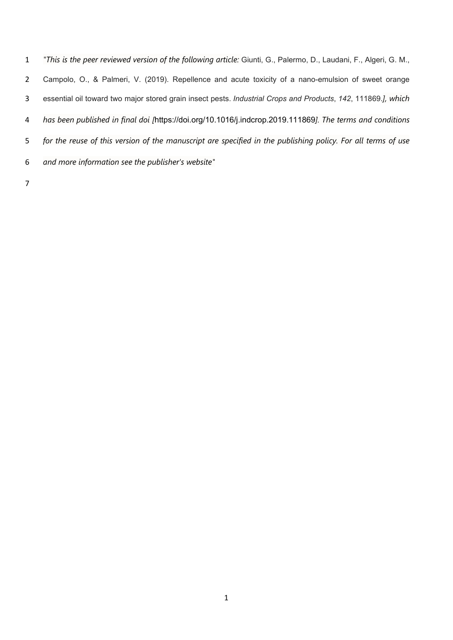*"This is the peer reviewed version of the following article:* Giunti, G., Palermo, D., Laudani, F., Algeri, G. M., Campolo, O., & Palmeri, V. (2019). Repellence and acute toxicity of a nano-emulsion of sweet orange essential oil toward two major stored grain insect pests. *Industrial Crops and Products*, *142*, 111869.*], which has been published in final doi [*https://doi.org/10.1016/j.indcrop.2019.111869*]. The terms and conditions for the reuse of this version of the manuscript are specified in the publishing policy. For all terms of use and more information see the publisher's website"*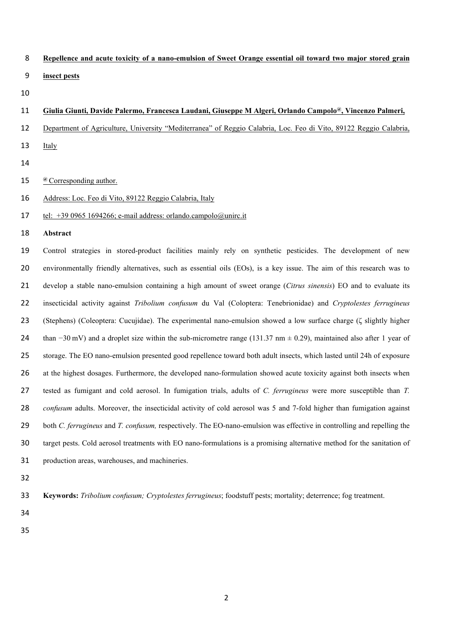- **Repellence and acute toxicity of a nano-emulsion of Sweet Orange essential oil toward two major stored grain insect pests**
- 

# **Giulia Giunti, Davide Palermo, Francesca Laudani, Giuseppe M Algeri, Orlando Campolo@ , Vincenzo Palmeri,**

- Department of Agriculture, University "Mediterranea" of Reggio Calabria, Loc. Feo di Vito, 89122 Reggio Calabria,
- 13 Italy
- 
- 15 @ Corresponding author.
- Address: Loc. Feo di Vito, 89122 Reggio Calabria, Italy
- 17 tel:  $+3909651694266$ ; e-mail address: orlando.campolo@unirc.it
- **Abstract**

Control strategies in stored-product facilities mainly rely on synthetic pesticides. The development of new environmentally friendly alternatives, such as essential oils (EOs), is a key issue. The aim of this research was to develop a stable nano-emulsion containing a high amount of sweet orange (*Citrus sinensis*) EO and to evaluate its insecticidal activity against *Tribolium confusum* du Val (Coloptera: Tenebrionidae) and *Cryptolestes ferrugineus*  (Stephens) (Coleoptera: Cucujidae). The experimental nano-emulsion showed a low surface charge (ζ slightly higher than −30 mV) and a droplet size within the sub-micrometre range (131.37 nm ± 0.29), maintained also after 1 year of storage. The EO nano-emulsion presented good repellence toward both adult insects, which lasted until 24h of exposure at the highest dosages. Furthermore, the developed nano-formulation showed acute toxicity against both insects when tested as fumigant and cold aerosol. In fumigation trials, adults of *C. ferrugineus* were more susceptible than *T. confusum* adults. Moreover, the insecticidal activity of cold aerosol was 5 and 7-fold higher than fumigation against both *C. ferrugineus* and *T. confusum,* respectively. The EO-nano-emulsion was effective in controlling and repelling the target pests. Cold aerosol treatments with EO nano-formulations is a promising alternative method for the sanitation of production areas, warehouses, and machineries.

**Keywords:** *Tribolium confusum; Cryptolestes ferrugineus*; foodstuff pests; mortality; deterrence; fog treatment.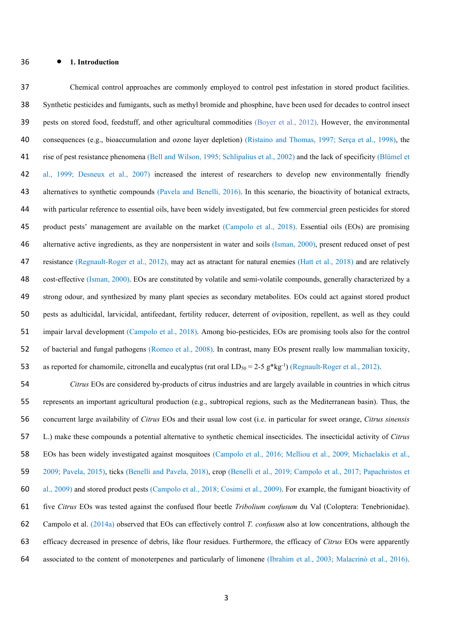### **1. Introduction**

Chemical control approaches are commonly employed to control pest infestation in stored product facilities. Synthetic pesticides and fumigants, such as methyl bromide and phosphine, have been used for decades to control insect pests on stored food, feedstuff, and other agricultural commodities (Boyer et al., 2012). However, the environmental consequences (e.g., bioaccumulation and ozone layer depletion) (Ristaino and Thomas, 1997; Serça et al., 1998), the rise of pest resistance phenomena (Bell and Wilson, 1995; Schlipalius et al., 2002) and the lack of specificity (Blümel et al., 1999; Desneux et al., 2007) increased the interest of researchers to develop new environmentally friendly alternatives to synthetic compounds (Pavela and Benelli, 2016). In this scenario, the bioactivity of botanical extracts, with particular reference to essential oils, have been widely investigated, but few commercial green pesticides for stored product pests' management are available on the market (Campolo et al., 2018). Essential oils (EOs) are promising 46 alternative active ingredients, as they are nonpersistent in water and soils (Isman, 2000), present reduced onset of pest 47 resistance (Regnault-Roger et al., 2012), may act as atractant for natural enemies (Hatt et al., 2018) and are relatively cost-effective (Isman, 2000). EOs are constituted by volatile and semi-volatile compounds, generally characterized by a strong odour, and synthesized by many plant species as secondary metabolites. EOs could act against stored product pests as adulticidal, larvicidal, antifeedant, fertility reducer, deterrent of oviposition, repellent, as well as they could impair larval development (Campolo et al., 2018). Among bio-pesticides, EOs are promising tools also for the control of bacterial and fungal pathogens (Romeo et al., 2008). In contrast, many EOs present really low mammalian toxicity, 53 as reported for chamomile, citronella and eucalyptus (rat oral  $LD_{50} = 2-5$  g\*kg<sup>-1</sup>) (Regnault-Roger et al., 2012).

*Citrus* EOs are considered by-products of citrus industries and are largely available in countries in which citrus represents an important agricultural production (e.g., subtropical regions, such as the Mediterranean basin). Thus, the concurrent large availability of *Citrus* EOs and their usual low cost (i.e. in particular for sweet orange, *Citrus sinensis*  L.) make these compounds a potential alternative to synthetic chemical insecticides. The insecticidal activity of *Citrus*  EOs has been widely investigated against mosquitoes (Campolo et al., 2016; Melliou et al., 2009; Michaelakis et al., 2009; Pavela, 2015), ticks (Benelli and Pavela, 2018), crop (Benelli et al., 2019; Campolo et al., 2017; Papachristos et al., 2009) and stored product pests (Campolo et al., 2018; Cosimi et al., 2009). For example, the fumigant bioactivity of five *Citrus* EOs was tested against the confused flour beetle *Tribolium confusum* du Val (Coloptera: Tenebrionidae). Campolo et al. (2014a) observed that EOs can effectively control *T. confusum* also at low concentrations, although the efficacy decreased in presence of debris, like flour residues. Furthermore, the efficacy of *Citrus* EOs were apparently associated to the content of monoterpenes and particularly of limonene (Ibrahim et al., 2003; Malacrinò et al., 2016).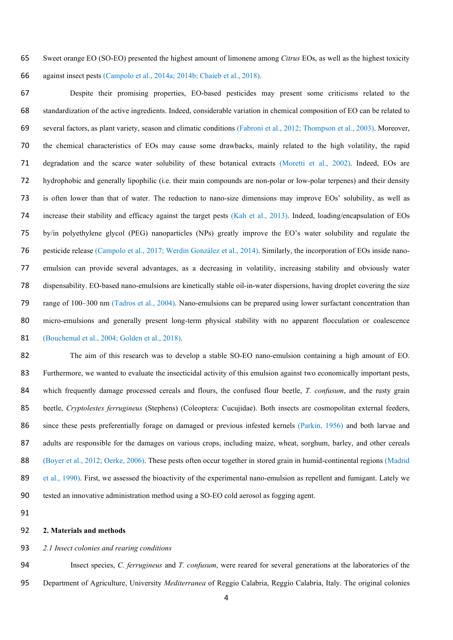Sweet orange EO (SO-EO) presented the highest amount of limonene among *Citrus* EOs, as well as the highest toxicity against insect pests (Campolo et al., 2014a; 2014b; Chaieb et al., 2018).

Despite their promising properties, EO-based pesticides may present some criticisms related to the standardization of the active ingredients. Indeed, considerable variation in chemical composition of EO can be related to several factors, as plant variety, season and climatic conditions (Fabroni et al., 2012; Thompson et al., 2003). Moreover, the chemical characteristics of EOs may cause some drawbacks, mainly related to the high volatility, the rapid degradation and the scarce water solubility of these botanical extracts (Moretti et al., 2002). Indeed, EOs are hydrophobic and generally lipophilic (i.e. their main compounds are non-polar or low-polar terpenes) and their density is often lower than that of water. The reduction to nano-size dimensions may improve EOs' solubility, as well as increase their stability and efficacy against the target pests (Kah et al., 2013). Indeed, loading/encapsulation of EOs by/in polyethylene glycol (PEG) nanoparticles (NPs) greatly improve the EO's water solubility and regulate the pesticide release (Campolo et al., 2017; Werdin González et al., 2014). Similarly, the incorporation of EOs inside nano-emulsion can provide several advantages, as a decreasing in volatility, increasing stability and obviously water dispensability. EO-based nano-emulsions are kinetically stable oil-in-water dispersions, having droplet covering the size range of 100–300 nm (Tadros et al., 2004). Nano-emulsions can be prepared using lower surfactant concentration than micro-emulsions and generally present long-term physical stability with no apparent flocculation or coalescence (Bouchemal et al., 2004; Golden et al., 2018).

The aim of this research was to develop a stable SO-EO nano-emulsion containing a high amount of EO. Furthermore, we wanted to evaluate the insecticidal activity of this emulsion against two economically important pests, which frequently damage processed cereals and flours, the confused flour beetle, *T. confusum*, and the rusty grain beetle, *Cryptolestes ferrugineus* (Stephens) (Coleoptera: Cucujidae). Both insects are cosmopolitan external feeders, since these pests preferentially forage on damaged or previous infested kernels (Parkin, 1956) and both larvae and adults are responsible for the damages on various crops, including maize, wheat, sorghum, barley, and other cereals (Boyer et al., 2012; Oerke, 2006). These pests often occur together in stored grain in humid-continental regions (Madrid 89 et al., 1990). First, we assessed the bioactivity of the experimental nano-emulsion as repellent and fumigant. Lately we tested an innovative administration method using a SO-EO cold aerosol as fogging agent.

## **2. Materials and methods**

#### *2.1 Insect colonies and rearing conditions*

Insect species, *C. ferrugineus* and *T. confusum*, were reared for several generations at the laboratories of the Department of Agriculture, University *Mediterranea* of Reggio Calabria, Reggio Calabria, Italy. The original colonies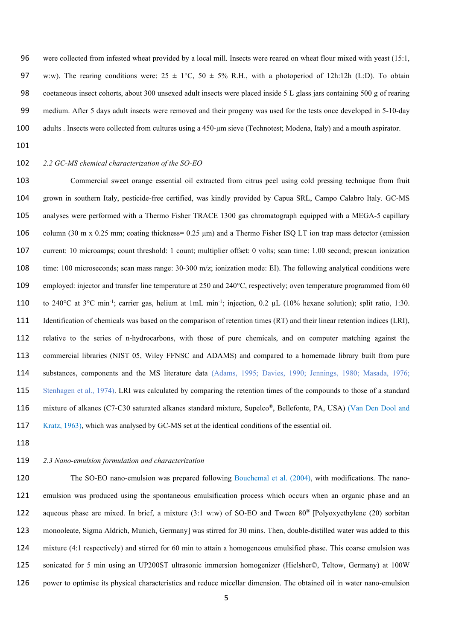were collected from infested wheat provided by a local mill. Insects were reared on wheat flour mixed with yeast (15:1, 97 w:w). The rearing conditions were:  $25 \pm 1^{\circ}\text{C}$ ,  $50 \pm 5\%$  R.H., with a photoperiod of 12h:12h (L:D). To obtain coetaneous insect cohorts, about 300 unsexed adult insects were placed inside 5 L glass jars containing 500 g of rearing medium. After 5 days adult insects were removed and their progeny was used for the tests once developed in 5-10-day adults . Insects were collected from cultures using a 450-μm sieve (Technotest; Modena, Italy) and a mouth aspirator.

# *2.2 GC-MS chemical characterization of the SO-EO*

Commercial sweet orange essential oil extracted from citrus peel using cold pressing technique from fruit grown in southern Italy, pesticide-free certified, was kindly provided by Capua SRL, Campo Calabro Italy. GC-MS analyses were performed with a Thermo Fisher TRACE 1300 gas chromatograph equipped with a MEGA-5 capillary column (30 m x 0.25 mm; coating thickness= 0.25 μm) and a Thermo Fisher ISQ LT ion trap mass detector (emission current: 10 microamps; count threshold: 1 count; multiplier offset: 0 volts; scan time: 1.00 second; prescan ionization time: 100 microseconds; scan mass range: 30-300 m/z; ionization mode: EI). The following analytical conditions were employed: injector and transfer line temperature at 250 and 240°C, respectively; oven temperature programmed from 60 110 to 240°C at 3°C min<sup>-1</sup>; carrier gas, helium at 1mL min<sup>-1</sup>; injection, 0.2  $\mu$ L (10% hexane solution); split ratio, 1:30. Identification of chemicals was based on the comparison of retention times (RT) and their linear retention indices (LRI), relative to the series of n-hydrocarbons, with those of pure chemicals, and on computer matching against the commercial libraries (NIST 05, Wiley FFNSC and ADAMS) and compared to a homemade library built from pure substances, components and the MS literature data (Adams, 1995; Davies, 1990; Jennings, 1980; Masada, 1976; Stenhagen et al., 1974). LRI was calculated by comparing the retention times of the compounds to those of a standard 116 mixture of alkanes (C7-C30 saturated alkanes standard mixture, Supelco®, Bellefonte, PA, USA) (Van Den Dool and Kratz, 1963), which was analysed by GC-MS set at the identical conditions of the essential oil.

#### *2.3 Nano-emulsion formulation and characterization*

120 The SO-EO nano-emulsion was prepared following Bouchemal et al. (2004), with modifications. The nano-emulsion was produced using the spontaneous emulsification process which occurs when an organic phase and an 122 aqueous phase are mixed. In brief, a mixture (3:1 w:w) of SO-EO and Tween  $80^{\circ}$  [Polyoxyethylene (20) sorbitan monooleate, Sigma Aldrich, Munich, Germany] was stirred for 30 mins. Then, double-distilled water was added to this mixture (4:1 respectively) and stirred for 60 min to attain a homogeneous emulsified phase. This coarse emulsion was sonicated for 5 min using an UP200ST ultrasonic immersion homogenizer (Hielsher©, Teltow, Germany) at 100W power to optimise its physical characteristics and reduce micellar dimension. The obtained oil in water nano-emulsion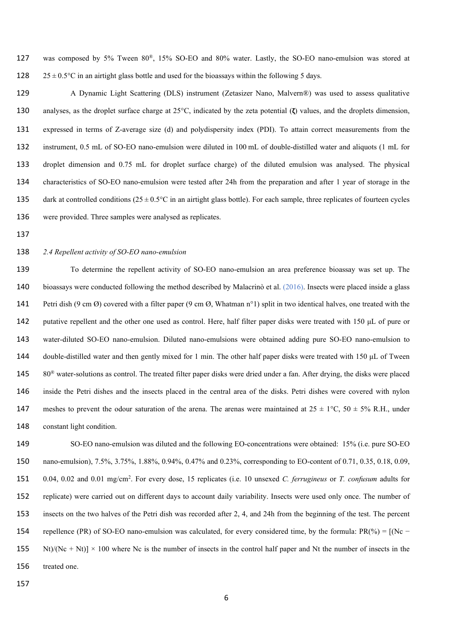127 was composed by 5% Tween 80®, 15% SO-EO and 80% water. Lastly, the SO-EO nano-emulsion was stored at 128  $25 \pm 0.5^{\circ}$ C in an airtight glass bottle and used for the bioassays within the following 5 days.

A Dynamic Light Scattering (DLS) instrument (Zetasizer Nano, Malvern®) was used to assess qualitative analyses, as the droplet surface charge at 25°C, indicated by the zeta potential (**ζ**) values, and the droplets dimension, expressed in terms of Z-average size (d) and polydispersity index (PDI). To attain correct measurements from the instrument, 0.5 mL of SO-EO nano-emulsion were diluted in 100 mL of double-distilled water and aliquots (1 mL for droplet dimension and 0.75 mL for droplet surface charge) of the diluted emulsion was analysed. The physical characteristics of SO-EO nano-emulsion were tested after 24h from the preparation and after 1 year of storage in the 135 dark at controlled conditions  $(25 \pm 0.5^{\circ}\text{C})$  in an airtight glass bottle). For each sample, three replicates of fourteen cycles were provided. Three samples were analysed as replicates.

### *2.4 Repellent activity of SO-EO nano-emulsion*

To determine the repellent activity of SO-EO nano-emulsion an area preference bioassay was set up. The 140 bioassays were conducted following the method described by Malacrinò et al. (2016). Insects were placed inside a glass Petri dish (9 cm Ø) covered with a filter paper (9 cm Ø, Whatman n°1) split in two identical halves, one treated with the putative repellent and the other one used as control. Here, half filter paper disks were treated with 150 μL of pure or water-diluted SO-EO nano-emulsion. Diluted nano-emulsions were obtained adding pure SO-EO nano-emulsion to 144 double-distilled water and then gently mixed for 1 min. The other half paper disks were treated with 150 µL of Tween  $80^\circ$  water-solutions as control. The treated filter paper disks were dried under a fan. After drying, the disks were placed inside the Petri dishes and the insects placed in the central area of the disks. Petri dishes were covered with nylon 147 meshes to prevent the odour saturation of the arena. The arenas were maintained at  $25 \pm 1^{\circ}$ C,  $50 \pm 5\%$  R.H., under constant light condition.

SO-EO nano-emulsion was diluted and the following EO-concentrations were obtained: 15% (i.e. pure SO-EO nano-emulsion), 7.5%, 3.75%, 1.88%, 0.94%, 0.47% and 0.23%, corresponding to EO-content of 0.71, 0.35, 0.18, 0.09, 0.04, 0.02 and 0.01 mg/cm<sup>2</sup> . For every dose, 15 replicates (i.e. 10 unsexed *C. ferrugineus* or *T. confusum* adults for replicate) were carried out on different days to account daily variability. Insects were used only once. The number of insects on the two halves of the Petri dish was recorded after 2, 4, and 24h from the beginning of the test. The percent 154 repellence (PR) of SO-EO nano-emulsion was calculated, for every considered time, by the formula:  $PR(\% ) = [(Nc -$ 155 Nt)/(Nc + Nt)]  $\times$  100 where Nc is the number of insects in the control half paper and Nt the number of insects in the treated one.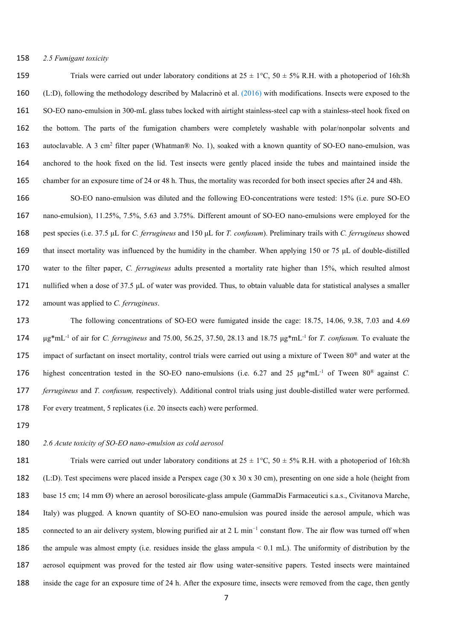### *2.5 Fumigant toxicity*

159 Trials were carried out under laboratory conditions at  $25 \pm 1^{\circ}$ C,  $50 \pm 5\%$  R.H. with a photoperiod of 16h:8h (L:D), following the methodology described by Malacrinò et al. (2016) with modifications. Insects were exposed to the SO-EO nano-emulsion in 300-mL glass tubes locked with airtight stainless-steel cap with a stainless-steel hook fixed on the bottom. The parts of the fumigation chambers were completely washable with polar/nonpolar solvents and 163 autoclavable. A 3 cm<sup>2</sup> filter paper (Whatman® No. 1), soaked with a known quantity of SO-EO nano-emulsion, was anchored to the hook fixed on the lid. Test insects were gently placed inside the tubes and maintained inside the chamber for an exposure time of 24 or 48 h. Thus, the mortality was recorded for both insect species after 24 and 48h.

SO-EO nano-emulsion was diluted and the following EO-concentrations were tested: 15% (i.e. pure SO-EO nano-emulsion), 11.25%, 7.5%, 5.63 and 3.75%. Different amount of SO-EO nano-emulsions were employed for the pest species (i.e. 37.5 μL for *C. ferrugineus* and 150 μL for *T. confusum*). Preliminary trails with *C. ferrugineus* showed that insect mortality was influenced by the humidity in the chamber. When applying 150 or 75 μL of double-distilled water to the filter paper, *C. ferrugineus* adults presented a mortality rate higher than 15%, which resulted almost nullified when a dose of 37.5 μL of water was provided. Thus, to obtain valuable data for statistical analyses a smaller amount was applied to *C. ferrugineus*.

The following concentrations of SO-EO were fumigated inside the cage: 18.75, 14.06, 9.38, 7.03 and 4.69 μg\*mL-1 of air for *C. ferrugineus* and 75.00, 56.25, 37.50, 28.13 and 18.75 μg\*mL-1 for *T. confusum.* To evaluate the 175 impact of surfactant on insect mortality, control trials were carried out using a mixture of Tween  $80^{\circ}$  and water at the 176 highest concentration tested in the SO-EO nano-emulsions (i.e.  $6.27$  and  $25 \text{ µg}^* \text{mL}^{-1}$  of Tween  $80^{\circ}$  against *C*. *ferrugineus* and *T. confusum,* respectively). Additional control trials using just double-distilled water were performed. For every treatment, 5 replicates (i.e. 20 insects each) were performed.

#### *2.6 Acute toxicity of SO-EO nano-emulsion as cold aerosol*

181 Trials were carried out under laboratory conditions at  $25 \pm 1^{\circ}$ C,  $50 \pm 5\%$  R.H. with a photoperiod of 16h:8h (L:D). Test specimens were placed inside a Perspex cage (30 x 30 x 30 cm), presenting on one side a hole (height from base 15 cm; 14 mm Ø) where an aerosol borosilicate-glass ampule (GammaDis Farmaceutici s.a.s., Civitanova Marche, Italy) was plugged. A known quantity of SO-EO nano-emulsion was poured inside the aerosol ampule, which was 185 connected to an air delivery system, blowing purified air at 2 L min<sup>-1</sup> constant flow. The air flow was turned off when the ampule was almost empty (i.e. residues inside the glass ampula < 0.1 mL). The uniformity of distribution by the aerosol equipment was proved for the tested air flow using water-sensitive papers. Tested insects were maintained inside the cage for an exposure time of 24 h. After the exposure time, insects were removed from the cage, then gently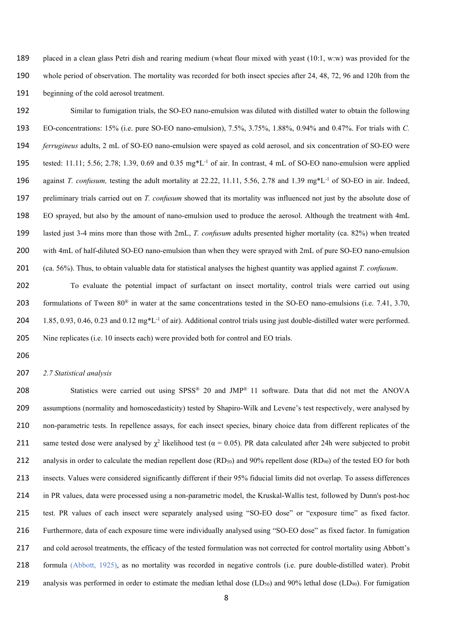placed in a clean glass Petri dish and rearing medium (wheat flour mixed with yeast (10:1, w:w) was provided for the whole period of observation. The mortality was recorded for both insect species after 24, 48, 72, 96 and 120h from the beginning of the cold aerosol treatment.

Similar to fumigation trials, the SO-EO nano-emulsion was diluted with distilled water to obtain the following EO-concentrations: 15% (i.e. pure SO-EO nano-emulsion), 7.5%, 3.75%, 1.88%, 0.94% and 0.47%. For trials with *C. ferrugineus* adults, 2 mL of SO-EO nano-emulsion were spayed as cold aerosol, and six concentration of SO-EO were 195 tested: 11.11; 5.56; 2.78; 1.39, 0.69 and 0.35  $mg^*L^{-1}$  of air. In contrast, 4 mL of SO-EO nano-emulsion were applied 196 against *T. confusum*, testing the adult mortality at 22.22, 11.11, 5.56, 2.78 and 1.39 mg\*L<sup>-1</sup> of SO-EO in air. Indeed, preliminary trials carried out on *T. confusum* showed that its mortality was influenced not just by the absolute dose of EO sprayed, but also by the amount of nano-emulsion used to produce the aerosol. Although the treatment with 4mL lasted just 3-4 mins more than those with 2mL, *T. confusum* adults presented higher mortality (ca. 82%) when treated with 4mL of half-diluted SO-EO nano-emulsion than when they were sprayed with 2mL of pure SO-EO nano-emulsion (ca. 56%). Thus, to obtain valuable data for statistical analyses the highest quantity was applied against *T. confusum*.

To evaluate the potential impact of surfactant on insect mortality, control trials were carried out using 203 formulations of Tween  $80^{\circ}$  in water at the same concentrations tested in the SO-EO nano-emulsions (i.e. 7.41, 3.70, 204 1.85, 0.93, 0.46, 0.23 and 0.12 mg\*L<sup>-1</sup> of air). Additional control trials using just double-distilled water were performed. 205 Nine replicates (i.e. 10 insects each) were provided both for control and EO trials.

### *2.7 Statistical analysis*

208 Statistics were carried out using  $SPSS^*$  20 and JMP<sup>®</sup> 11 software. Data that did not met the ANOVA assumptions (normality and homoscedasticity) tested by Shapiro-Wilk and Levene's test respectively, were analysed by non-parametric tests. In repellence assays, for each insect species, binary choice data from different replicates of the 211 same tested dose were analysed by  $\chi^2$  likelihood test (α = 0.05). PR data calculated after 24h were subjected to probit 212 analysis in order to calculate the median repellent dose  $(RD_{50})$  and 90% repellent dose  $(RD_{90})$  of the tested EO for both insects. Values were considered significantly different if their 95% fiducial limits did not overlap. To assess differences in PR values, data were processed using a non-parametric model, the Kruskal-Wallis test, followed by Dunn's post-hoc test. PR values of each insect were separately analysed using "SO-EO dose" or "exposure time" as fixed factor. Furthermore, data of each exposure time were individually analysed using "SO-EO dose" as fixed factor. In fumigation and cold aerosol treatments, the efficacy of the tested formulation was not corrected for control mortality using Abbott's formula (Abbott, 1925), as no mortality was recorded in negative controls (i.e. pure double-distilled water). Probit 219 analysis was performed in order to estimate the median lethal dose  $(LD_{50})$  and 90% lethal dose  $(LD_{90})$ . For fumigation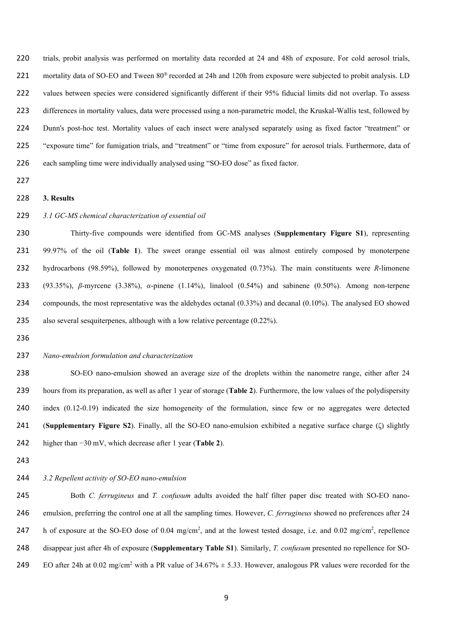trials, probit analysis was performed on mortality data recorded at 24 and 48h of exposure. For cold aerosol trials, 221 mortality data of SO-EO and Tween 80<sup>®</sup> recorded at 24h and 120h from exposure were subjected to probit analysis. LD values between species were considered significantly different if their 95% fiducial limits did not overlap. To assess differences in mortality values, data were processed using a non-parametric model, the Kruskal-Wallis test, followed by Dunn's post-hoc test. Mortality values of each insect were analysed separately using as fixed factor "treatment" or "exposure time" for fumigation trials, and "treatment" or "time from exposure" for aerosol trials. Furthermore, data of each sampling time were individually analysed using "SO-EO dose" as fixed factor.

- 
- **3. Results**

## *3.1 GC-MS chemical characterization of essential oil*

Thirty-five compounds were identified from GC-MS analyses (**Supplementary Figure S1**), representing 99.97% of the oil (**Table 1**). The sweet orange essential oil was almost entirely composed by monoterpene hydrocarbons (98.59%), followed by monoterpenes oxygenated (0.73%). The main constituents were *R*-limonene (93.35%), *β*-myrcene (3.38%), *α*-pinene (1.14%), linalool (0.54%) and sabinene (0.50%). Among non-terpene compounds, the most representative was the aldehydes octanal (0.33%) and decanal (0.10%). The analysed EO showed also several sesquiterpenes, although with a low relative percentage (0.22%).

# *Nano-emulsion formulation and characterization*

SO-EO nano-emulsion showed an average size of the droplets within the nanometre range, either after 24 hours from its preparation, as well as after 1 year of storage (**Table 2**). Furthermore, the low values of the polydispersity index (0.12-0.19) indicated the size homogeneity of the formulation, since few or no aggregates were detected (**Supplementary Figure S2**). Finally, all the SO-EO nano-emulsion exhibited a negative surface charge (ζ) slightly higher than −30 mV, which decrease after 1 year (**Table 2**).

## *3.2 Repellent activity of SO-EO nano-emulsion*

Both *C. ferrugineus* and *T. confusum* adults avoided the half filter paper disc treated with SO-EO nano-emulsion, preferring the control one at all the sampling times. However, *C. ferrugineus* showed no preferences after 24 247 h of exposure at the SO-EO dose of 0.04 mg/cm<sup>2</sup>, and at the lowest tested dosage, i.e. and 0.02 mg/cm<sup>2</sup>, repellence disappear just after 4h of exposure (**Supplementary Table S1**). Similarly, *T. confusum* presented no repellence for SO-249 EO after 24h at 0.02 mg/cm<sup>2</sup> with a PR value of  $34.67\% \pm 5.33$ . However, analogous PR values were recorded for the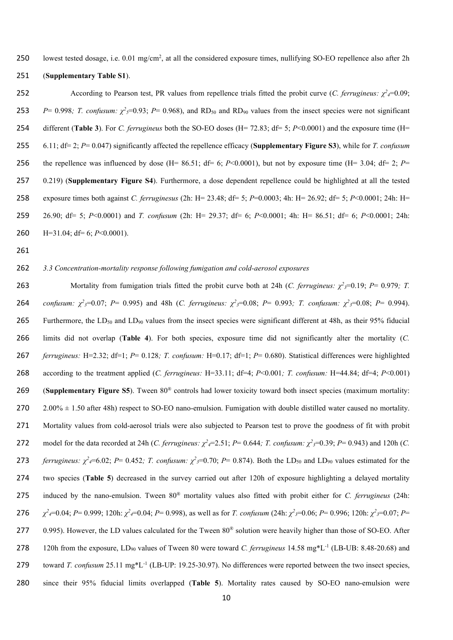250 lowest tested dosage, i.e. 0.01 mg/cm<sup>2</sup>, at all the considered exposure times, nullifying SO-EO repellence also after 2h

251 (**Supplementary Table S1**).

According to Pearson test, PR values from repellence trials fitted the probit curve (*C. ferrugineus:*  $\chi^2$ =0.09; *P*= 0.998; *T. confusum:*  $\chi^2$ <sub>5</sub>=0.93; *P*= 0.968), and RD<sub>50</sub> and RD<sub>90</sub> values from the insect species were not significant different (**Table 3**). For *C. ferrugineus* both the SO-EO doses (H= 72.83; df= 5; *P*<0.0001) and the exposure time (H= 6.11; df= 2; *P*= 0.047) significantly affected the repellence efficacy (**Supplementary Figure S3**), while for *T. confusum*  256 the repellence was influenced by dose  $(H= 86.51; df= 6; P<0.0001)$ , but not by exposure time  $(H= 3.04; df= 2; P=$ 0.219) (**Supplementary Figure S4**). Furthermore, a dose dependent repellence could be highlighted at all the tested exposure times both against *C. ferruginesus* (2h: H= 23.48; df= 5; *P*=0.0003; 4h: H= 26.92; df= 5; *P*<0.0001; 24h: H= 26.90; df= 5; *P*<0.0001) and *T. confusum* (2h: H= 29.37; df= 6; *P*<0.0001; 4h: H= 86.51; df= 6; *P*<0.0001; 24h: H=31.04; df= 6; *P*<0.0001).

261

#### 262 *3.3 Concentration-mortality response following fumigation and cold-aerosol exposures*

263 Mortality from fumigation trials fitted the probit curve both at 24h (*C. ferrugineus:*  $\chi^2$  = 0.19; *P*= 0.979*; T.* 264 *confusum:*  $\chi^2$ <sub>3</sub>=0.07; *P*= 0.995) and 48h (*C. ferrugineus:*  $\chi^2$ <sub>3</sub>=0.08; *P*= 0.993; *T. confusum:*  $\chi^2$ <sub>3</sub>=0.08; *P*= 0.994). 265 Furthermore, the  $LD_{50}$  and  $LD_{90}$  values from the insect species were significant different at 48h, as their 95% fiducial 266 limits did not overlap (**Table 4**). For both species, exposure time did not significantly alter the mortality (*C.*  267 *ferrugineus:* H=2.32; df=1; *P*= 0.128*; T. confusum:* H=0.17; df=1; *P*= 0.680). Statistical differences were highlighted 268 according to the treatment applied (*C. ferrugineus:* H=33.11; df=4; *P*<0.001*; T. confusum:* H=44.84; df=4; *P*<0.001) (**Supplementary Figure S5**). Tween 80® 269 controls had lower toxicity toward both insect species (maximum mortality:  $270$   $2.00\% \pm 1.50$  after 48h) respect to SO-EO nano-emulsion. Fumigation with double distilled water caused no mortality. 271 Mortality values from cold-aerosol trials were also subjected to Pearson test to prove the goodness of fit with probit 272 model for the data recorded at 24h (*C. ferrugineus:*  $\chi^2 = 2.51$ *; P*= 0.644*; T. confusum:*  $\chi^2 = 0.39$ ; *P*= 0.943) and 120h (*C.* 273 *ferrugineus:*  $\chi^2$ *<sub>4</sub>*=6.02; *P*= 0.452*; T. confusum:*  $\chi^2$ <sub>3</sub>=0.70; *P*= 0.874). Both the LD<sub>50</sub> and LD<sub>90</sub> values estimated for the 274 two species (**Table 5**) decreased in the survey carried out after 120h of exposure highlighting a delayed mortality 275 induced by the nano-emulsion. Tween 80<sup>®</sup> mortality values also fitted with probit either for *C. ferrugineus* (24h: 276  $\chi^2$ =0.04; P= 0.999; 120h:  $\chi^2$ =0.04; P= 0.998), as well as for *T. confusum* (24h:  $\chi^2$ <sub>3</sub>=0.06; P= 0.996; 120h:  $\chi^2$ <sub>3</sub>=0.07; P= 277 0.995). However, the LD values calculated for the Tween  $80^{\circ}$  solution were heavily higher than those of SO-EO. After 120h from the exposure, LD90 values of Tween 80 were toward *C. ferrugineus* 14.58 mg\*L-1 278 (LB-UB: 8.48-20.68) and 279 toward *T. confusum* 25.11 mg\*L<sup>-1</sup> (LB-UP: 19.25-30.97). No differences were reported between the two insect species, 280 since their 95% fiducial limits overlapped (**Table 5**). Mortality rates caused by SO-EO nano-emulsion were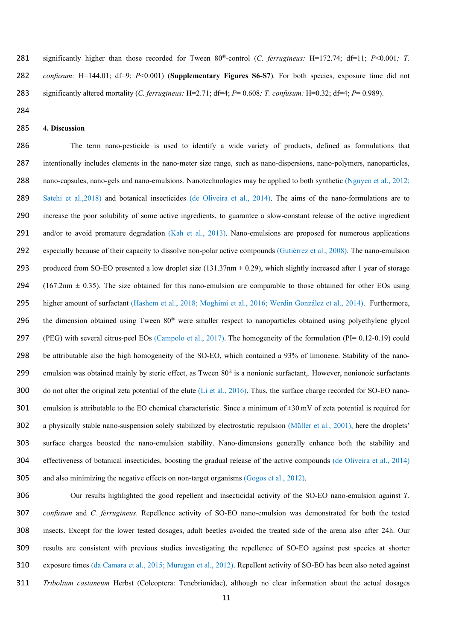281 significantly higher than those recorded for Tween 80<sup>®</sup>-control (*C. ferrugineus: H*=172.74; df=11; *P*<0.001; *T. confusum:* H=144.01; df=9; *P*<0.001) (**Supplementary Figures S6-S7**)*.* For both species, exposure time did not significantly altered mortality (*C. ferrugineus:* H=2.71; df=4; *P*= 0.608*; T. confusum:* H=0.32; df=4; *P*= 0.989).

## **4. Discussion**

The term nano-pesticide is used to identify a wide variety of products, defined as formulations that intentionally includes elements in the nano-meter size range, such as nano-dispersions, nano-polymers, nanoparticles, nano-capsules, nano-gels and nano-emulsions. Nanotechnologies may be applied to both synthetic (Nguyen et al., 2012; Satehi et al.,2018) and botanical insecticides (de Oliveira et al., 2014). The aims of the nano-formulations are to increase the poor solubility of some active ingredients, to guarantee a slow-constant release of the active ingredient 291 and/or to avoid premature degradation (Kah et al., 2013). Nano-emulsions are proposed for numerous applications especially because of their capacity to dissolve non-polar active compounds (Gutiérrez et al., 2008). The nano-emulsion 293 produced from SO-EO presented a low droplet size  $(131.37nm \pm 0.29)$ , which slightly increased after 1 year of storage 294 (167.2nm  $\pm$  0.35). The size obtained for this nano-emulsion are comparable to those obtained for other EOs using higher amount of surfactant (Hashem et al., 2018; Moghimi et al., 2016; Werdin González et al., 2014). Furthermore, 296 the dimension obtained using Tween  $80^\circ$  were smaller respect to nanoparticles obtained using polyethylene glycol (PEG) with several citrus-peel EOs (Campolo et al., 2017). The homogeneity of the formulation (PI= 0.12-0.19) could be attributable also the high homogeneity of the SO-EO, which contained a 93% of limonene. Stability of the nano-299 emulsion was obtained mainly by steric effect, as Tween  $80^{\circ}$  is a nonionic surfactant,. However, nonionoic surfactants 300 do not alter the original zeta potential of the elute (Li et al., 2016). Thus, the surface charge recorded for SO-EO nano-301 emulsion is attributable to the EO chemical characteristic. Since a minimum of  $\pm 30$  mV of zeta potential is required for a physically stable nano-suspension solely stabilized by electrostatic repulsion (Müller et al., 2001), here the droplets' surface charges boosted the nano-emulsion stability. Nano-dimensions generally enhance both the stability and effectiveness of botanical insecticides, boosting the gradual release of the active compounds (de Oliveira et al., 2014) and also minimizing the negative effects on non-target organisms (Gogos et al., 2012).

Our results highlighted the good repellent and insecticidal activity of the SO-EO nano-emulsion against *T. confusum* and *C. ferrugineus*. Repellence activity of SO-EO nano-emulsion was demonstrated for both the tested insects. Except for the lower tested dosages, adult beetles avoided the treated side of the arena also after 24h. Our results are consistent with previous studies investigating the repellence of SO-EO against pest species at shorter exposure times (da Camara et al., 2015; Murugan et al., 2012). Repellent activity of SO-EO has been also noted against *Tribolium castaneum* Herbst (Coleoptera: Tenebrionidae), although no clear information about the actual dosages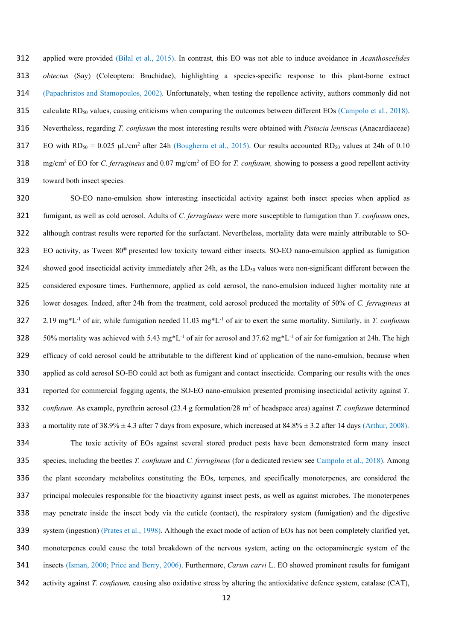applied were provided (Bilal et al., 2015). In contrast*,* this EO was not able to induce avoidance in *Acanthoscelides obtectus* (Say) (Coleoptera: Bruchidae), highlighting a species-specific response to this plant-borne extract (Papachristos and Stamopoulos, 2002). Unfortunately, when testing the repellence activity, authors commonly did not 315 calculate RD<sub>50</sub> values, causing criticisms when comparing the outcomes between different EOs (Campolo et al., 2018). Nevertheless, regarding *T. confusum* the most interesting results were obtained with *Pistacia lentiscus* (Anacardiaceae) EO with  $RD_{50} = 0.025 \mu L/cm^2$  after 24h (Bougherra et al., 2015). Our results accounted RD<sub>50</sub> values at 24h of 0.10 318 mg/cm<sup>2</sup> of EO for *C. ferrugineus* and 0.07 mg/cm<sup>2</sup> of EO for *T. confusum*, showing to possess a good repellent activity toward both insect species.

SO-EO nano-emulsion show interesting insecticidal activity against both insect species when applied as fumigant, as well as cold aerosol. Adults of *C. ferrugineus* were more susceptible to fumigation than *T. confusum* ones, although contrast results were reported for the surfactant. Nevertheless, mortality data were mainly attributable to SO- $B<sub>23</sub>$  BO activity, as Tween  $80^{\circ}$  presented low toxicity toward either insects. SO-EO nano-emulsion applied as fumigation 324 showed good insecticidal activity immediately after 24h, as the  $LD_{50}$  values were non-significant different between the considered exposure times. Furthermore, applied as cold aerosol, the nano-emulsion induced higher mortality rate at lower dosages. Indeed, after 24h from the treatment, cold aerosol produced the mortality of 50% of *C. ferrugineus* at  $2.19 \text{ mg*L}^{-1}$  of air, while fumigation needed 11.03 mg<sup>\*L-1</sup> of air to exert the same mortality. Similarly, in *T. confusum* 50% mortality was achieved with 5.43 mg\*L<sup>-1</sup> of air for aerosol and 37.62 mg\*L<sup>-1</sup> of air for fumigation at 24h. The high efficacy of cold aerosol could be attributable to the different kind of application of the nano-emulsion, because when applied as cold aerosol SO-EO could act both as fumigant and contact insecticide. Comparing our results with the ones reported for commercial fogging agents, the SO-EO nano-emulsion presented promising insecticidal activity against *T. confusum.* As example, pyrethrin aerosol (23.4 g formulation/28 m<sup>3</sup> of headspace area) against *T. confusum* determined 333 a mortality rate of  $38.9\% \pm 4.3$  after 7 days from exposure, which increased at  $84.8\% \pm 3.2$  after 14 days (Arthur, 2008).

The toxic activity of EOs against several stored product pests have been demonstrated form many insect species, including the beetles *T. confusum* and *C. ferrugineus* (for a dedicated review see Campolo et al., 2018). Among the plant secondary metabolites constituting the EOs, terpenes, and specifically monoterpenes, are considered the principal molecules responsible for the bioactivity against insect pests, as well as against microbes. The monoterpenes may penetrate inside the insect body via the cuticle (contact), the respiratory system (fumigation) and the digestive system (ingestion) (Prates et al., 1998). Although the exact mode of action of EOs has not been completely clarified yet, monoterpenes could cause the total breakdown of the nervous system, acting on the octopaminergic system of the insects (Isman, 2000; Price and Berry, 2006). Furthermore, *Carum carvi* L. EO showed prominent results for fumigant activity against *T. confusum,* causing also oxidative stress by altering the antioxidative defence system, catalase (CAT),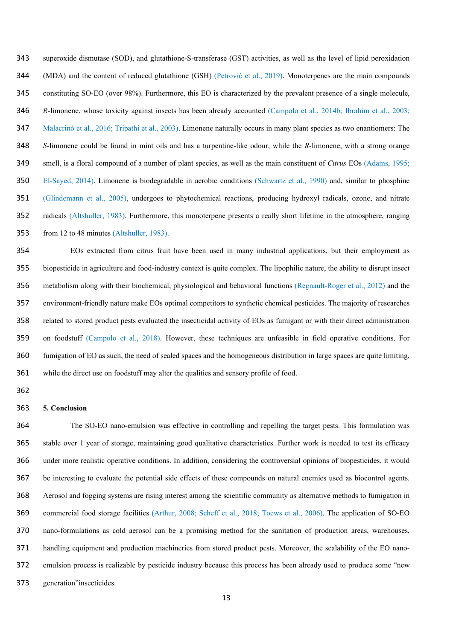superoxide dismutase (SOD), and glutathione-S-transferase (GST) activities, as well as the level of lipid peroxidation (MDA) and the content of reduced glutathione (GSH) (Petrović et al., 2019). Monoterpenes are the main compounds constituting SO-EO (over 98%). Furthermore, this EO is characterized by the prevalent presence of a single molecule, *R-*limonene, whose toxicity against insects has been already accounted (Campolo et al., 2014b; Ibrahim et al., 2003; Malacrinò et al., 2016; Tripathi et al., 2003). Limonene naturally occurs in many plant species as two enantiomers: The *S-*limonene could be found in mint oils and has a turpentine-like odour, while the *R-*limonene, with a strong orange smell, is a floral compound of a number of plant species, as well as the main constituent of *Citrus* EOs (Adams, 1995; El-Sayed, 2014). Limonene is biodegradable in aerobic conditions (Schwartz et al., 1990) and, similar to phosphine (Glindemann et al., 2005), undergoes to phytochemical reactions, producing hydroxyl radicals, ozone, and nitrate radicals (Altshuller, 1983). Furthermore, this monoterpene presents a really short lifetime in the atmosphere, ranging from 12 to 48 minutes (Altshuller, 1983).

EOs extracted from citrus fruit have been used in many industrial applications, but their employment as biopesticide in agriculture and food-industry context is quite complex. The lipophilic nature, the ability to disrupt insect metabolism along with their biochemical, physiological and behavioral functions (Regnault-Roger et al., 2012) and the environment-friendly nature make EOs optimal competitors to synthetic chemical pesticides. The majority of researches related to stored product pests evaluated the insecticidal activity of EOs as fumigant or with their direct administration on foodstuff (Campolo et al., 2018). However, these techniques are unfeasible in field operative conditions. For fumigation of EO as such, the need of sealed spaces and the homogeneous distribution in large spaces are quite limiting, while the direct use on foodstuff may alter the qualities and sensory profile of food.

## **5. Conclusion**

The SO-EO nano-emulsion was effective in controlling and repelling the target pests. This formulation was stable over 1 year of storage, maintaining good qualitative characteristics. Further work is needed to test its efficacy under more realistic operative conditions. In addition, considering the controversial opinions of biopesticides, it would be interesting to evaluate the potential side effects of these compounds on natural enemies used as biocontrol agents. Aerosol and fogging systems are rising interest among the scientific community as alternative methods to fumigation in commercial food storage facilities (Arthur, 2008; Scheff et al., 2018; Toews et al., 2006). The application of SO-EO nano-formulations as cold aerosol can be a promising method for the sanitation of production areas, warehouses, handling equipment and production machineries from stored product pests. Moreover, the scalability of the EO nano-emulsion process is realizable by pesticide industry because this process has been already used to produce some "new generation"insecticides.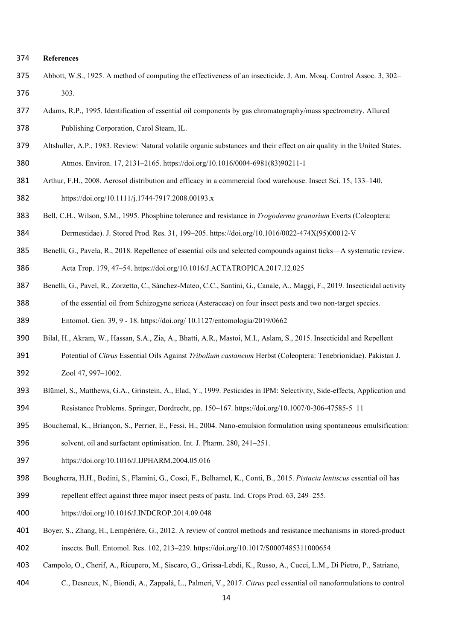#### **References**

- Abbott, W.S., 1925. A method of computing the effectiveness of an insecticide. J. Am. Mosq. Control Assoc. 3, 302– 303.
- Adams, R.P., 1995. Identification of essential oil components by gas chromatography/mass spectrometry. Allured Publishing Corporation, Carol Steam, IL.
- Altshuller, A.P., 1983. Review: Natural volatile organic substances and their effect on air quality in the United States.
- Atmos. Environ. 17, 2131–2165. https://doi.org/10.1016/0004-6981(83)90211-1
- Arthur, F.H., 2008. Aerosol distribution and efficacy in a commercial food warehouse. Insect Sci. 15, 133–140. https://doi.org/10.1111/j.1744-7917.2008.00193.x
- Bell, C.H., Wilson, S.M., 1995. Phosphine tolerance and resistance in *Trogoderma granarium* Everts (Coleoptera: Dermestidae). J. Stored Prod. Res. 31, 199–205. https://doi.org/10.1016/0022-474X(95)00012-V
- Benelli, G., Pavela, R., 2018. Repellence of essential oils and selected compounds against ticks—A systematic review.

Acta Trop. 179, 47–54. https://doi.org/10.1016/J.ACTATROPICA.2017.12.025

- Benelli, G., Pavel, R., Zorzetto, C., Sánchez-Mateo, C.C., Santini, G., Canale, A., Maggi, F., 2019. Insecticidal activity of the essential oil from Schizogyne sericea (Asteraceae) on four insect pests and two non-target species.
- Entomol. Gen. 39, 9 18. https://doi.org/ 10.1127/entomologia/2019/0662
- Bilal, H., Akram, W., Hassan, S.A., Zia, A., Bhatti, A.R., Mastoi, M.I., Aslam, S., 2015. Insecticidal and Repellent
- Potential of *Citrus* Essential Oils Against *Tribolium castaneum* Herbst (Coleoptera: Tenebrionidae). Pakistan J. Zool 47, 997–1002.
- Blümel, S., Matthews, G.A., Grinstein, A., Elad, Y., 1999. Pesticides in IPM: Selectivity, Side-effects, Application and Resistance Problems. Springer, Dordrecht, pp. 150–167. https://doi.org/10.1007/0-306-47585-5\_11
- Bouchemal, K., Briançon, S., Perrier, E., Fessi, H., 2004. Nano-emulsion formulation using spontaneous emulsification: solvent, oil and surfactant optimisation. Int. J. Pharm. 280, 241–251.
- https://doi.org/10.1016/J.IJPHARM.2004.05.016
- Bougherra, H.H., Bedini, S., Flamini, G., Cosci, F., Belhamel, K., Conti, B., 2015. *Pistacia lentiscus* essential oil has
- repellent effect against three major insect pests of pasta. Ind. Crops Prod. 63, 249–255.
- https://doi.org/10.1016/J.INDCROP.2014.09.048
- Boyer, S., Zhang, H., Lempérière, G., 2012. A review of control methods and resistance mechanisms in stored-product insects. Bull. Entomol. Res. 102, 213–229. https://doi.org/10.1017/S0007485311000654
- Campolo, O., Cherif, A., Ricupero, M., Siscaro, G., Grissa-Lebdi, K., Russo, A., Cucci, L.M., Di Pietro, P., Satriano,
- C., Desneux, N., Biondi, A., Zappalà, L., Palmeri, V., 2017. *Citrus* peel essential oil nanoformulations to control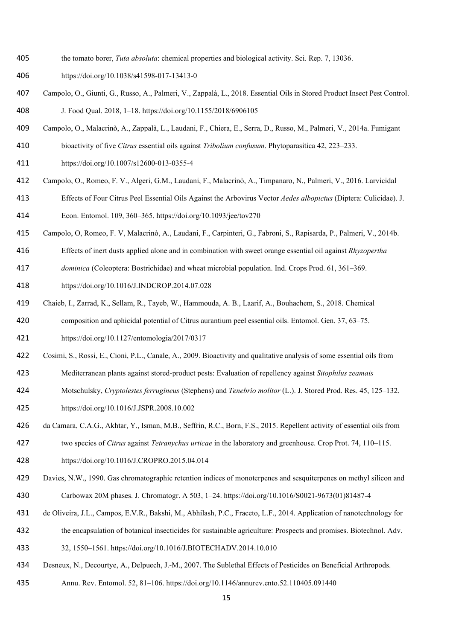- the tomato borer, *Tuta absoluta*: chemical properties and biological activity. Sci. Rep. 7, 13036.
- https://doi.org/10.1038/s41598-017-13413-0
- Campolo, O., Giunti, G., Russo, A., Palmeri, V., Zappalà, L., 2018. Essential Oils in Stored Product Insect Pest Control. J. Food Qual. 2018, 1–18. https://doi.org/10.1155/2018/6906105
- Campolo, O., Malacrinò, A., Zappalà, L., Laudani, F., Chiera, E., Serra, D., Russo, M., Palmeri, V., 2014a. Fumigant
- bioactivity of five *Citrus* essential oils against *Tribolium confusum*. Phytoparasitica 42, 223–233.
- https://doi.org/10.1007/s12600-013-0355-4
- Campolo, O., Romeo, F. V., Algeri, G.M., Laudani, F., Malacrinò, A., Timpanaro, N., Palmeri, V., 2016. Larvicidal
- Effects of Four Citrus Peel Essential Oils Against the Arbovirus Vector *Aedes albopictus* (Diptera: Culicidae). J.

Econ. Entomol. 109, 360–365. https://doi.org/10.1093/jee/tov270

- Campolo, O, Romeo, F. V, Malacrinò, A., Laudani, F., Carpinteri, G., Fabroni, S., Rapisarda, P., Palmeri, V., 2014b.
- Effects of inert dusts applied alone and in combination with sweet orange essential oil against *Rhyzopertha*
- *dominica* (Coleoptera: Bostrichidae) and wheat microbial population. Ind. Crops Prod. 61, 361–369.
- https://doi.org/10.1016/J.INDCROP.2014.07.028
- Chaieb, I., Zarrad, K., Sellam, R., Tayeb, W., Hammouda, A. B., Laarif, A., Bouhachem, S., 2018. Chemical composition and aphicidal potential of Citrus aurantium peel essential oils. Entomol. Gen. 37, 63–75.
- https://doi.org/10.1127/entomologia/2017/0317
- Cosimi, S., Rossi, E., Cioni, P.L., Canale, A., 2009. Bioactivity and qualitative analysis of some essential oils from
- Mediterranean plants against stored-product pests: Evaluation of repellency against *Sitophilus zeamais*
- Motschulsky, *Cryptolestes ferrugineus* (Stephens) and *Tenebrio molitor* (L.). J. Stored Prod. Res. 45, 125–132.
- https://doi.org/10.1016/J.JSPR.2008.10.002
- da Camara, C.A.G., Akhtar, Y., Isman, M.B., Seffrin, R.C., Born, F.S., 2015. Repellent activity of essential oils from
- two species of *Citrus* against *Tetranychus urticae* in the laboratory and greenhouse. Crop Prot. 74, 110–115.
- https://doi.org/10.1016/J.CROPRO.2015.04.014
- Davies, N.W., 1990. Gas chromatographic retention indices of monoterpenes and sesquiterpenes on methyl silicon and Carbowax 20M phases. J. Chromatogr. A 503, 1–24. https://doi.org/10.1016/S0021-9673(01)81487-4
- de Oliveira, J.L., Campos, E.V.R., Bakshi, M., Abhilash, P.C., Fraceto, L.F., 2014. Application of nanotechnology for
- the encapsulation of botanical insecticides for sustainable agriculture: Prospects and promises. Biotechnol. Adv.
- 32, 1550–1561. https://doi.org/10.1016/J.BIOTECHADV.2014.10.010
- Desneux, N., Decourtye, A., Delpuech, J.-M., 2007. The Sublethal Effects of Pesticides on Beneficial Arthropods.
- Annu. Rev. Entomol. 52, 81–106. https://doi.org/10.1146/annurev.ento.52.110405.091440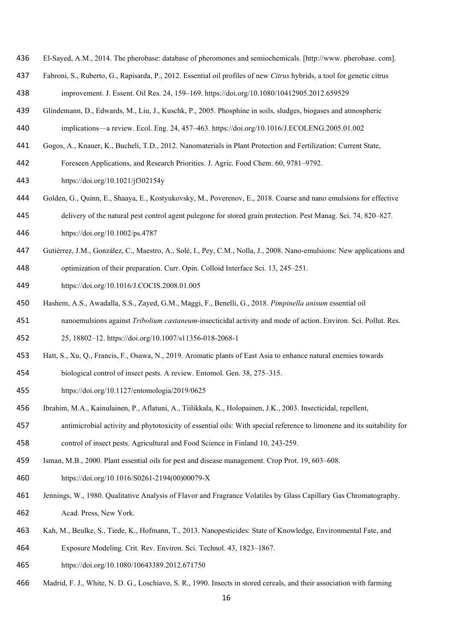- El-Sayed, A.M., 2014. The pherobase: database of pheromones and semiochemicals. [http://www. pherobase. com].
- Fabroni, S., Ruberto, G., Rapisarda, P., 2012. Essential oil profiles of new *Citrus* hybrids, a tool for genetic citrus
- improvement. J. Essent. Oil Res. 24, 159–169. https://doi.org/10.1080/10412905.2012.659529
- Glindemann, D., Edwards, M., Liu, J., Kuschk, P., 2005. Phosphine in soils, sludges, biogases and atmospheric implications—a review. Ecol. Eng. 24, 457–463. https://doi.org/10.1016/J.ECOLENG.2005.01.002
- Gogos, A., Knauer, K., Bucheli, T.D., 2012. Nanomaterials in Plant Protection and Fertilization: Current State,
- Foreseen Applications, and Research Priorities. J. Agric. Food Chem. 60, 9781–9792.
- https://doi.org/10.1021/jf302154y
- Golden, G., Quinn, E., Shaaya, E., Kostyukovsky, M., Poverenov, E., 2018. Coarse and nano emulsions for effective
- delivery of the natural pest control agent pulegone for stored grain protection. Pest Manag. Sci. 74, 820–827.
- https://doi.org/10.1002/ps.4787
- Gutiérrez, J.M., González, C., Maestro, A., Solè, I., Pey, C.M., Nolla, J., 2008. Nano-emulsions: New applications and
- optimization of their preparation. Curr. Opin. Colloid Interface Sci. 13, 245–251.
- https://doi.org/10.1016/J.COCIS.2008.01.005
- Hashem, A.S., Awadalla, S.S., Zayed, G.M., Maggi, F., Benelli, G., 2018. *Pimpinella anisum* essential oil
- nanoemulsions against *Tribolium castaneum*-insecticidal activity and mode of action. Environ. Sci. Pollut. Res.
- 25, 18802–12. https://doi.org/10.1007/s11356-018-2068-1
- Hatt, S., Xu, Q., Francis, F., Osawa, N., 2019. Aromatic plants of East Asia to enhance natural enemies towards
- biological control of insect pests. A review. Entomol. Gen. 38, 275–315.
- https://doi.org/10.1127/entomologia/2019/0625
- Ibrahim, M.A., Kainulainen, P., Aflatuni, A., Tiilikkala, K., Holopainen, J.K., 2003. Insecticidal, repellent,
- antimicrobial activity and phytotoxicity of essential oils: With special reference to limonene and its suitability for
- control of insect pests. Agricultural and Food Science in Finland 10, 243-259.
- Isman, M.B., 2000. Plant essential oils for pest and disease management. Crop Prot. 19, 603–608.
- https://doi.org/10.1016/S0261-2194(00)00079-X
- Jennings, W., 1980. Qualitative Analysis of Flavor and Fragrance Volatiles by Glass Capillary Gas Chromatography. Acad. Press, New York.
- Kah, M., Beulke, S., Tiede, K., Hofmann, T., 2013. Nanopesticides: State of Knowledge, Environmental Fate, and
- Exposure Modeling. Crit. Rev. Environ. Sci. Technol. 43, 1823–1867.
- https://doi.org/10.1080/10643389.2012.671750
- Madrid, F. J., White, N. D. G., Loschiavo, S. R., 1990. Insects in stored cereals, and their association with farming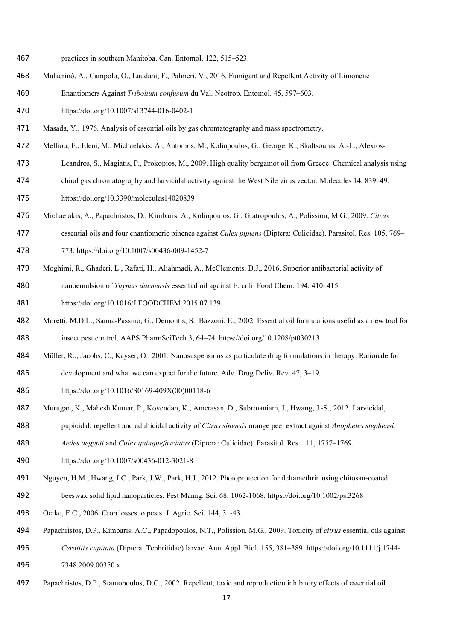- practices in southern Manitoba. Can. Entomol. 122, 515–523.
- Malacrinò, A., Campolo, O., Laudani, F., Palmeri, V., 2016. Fumigant and Repellent Activity of Limonene
- Enantiomers Against *Tribolium confusum* du Val. Neotrop. Entomol. 45, 597–603.
- https://doi.org/10.1007/s13744-016-0402-1
- Masada, Y., 1976. Analysis of essential oils by gas chromatography and mass spectrometry.
- Melliou, E., Eleni, M., Michaelakis, A., Antonios, M., Koliopoulos, G., George, K., Skaltsounis, A.-L., Alexios-
- Leandros, S., Magiatis, P., Prokopios, M., 2009. High quality bergamot oil from Greece: Chemical analysis using
- chiral gas chromatography and larvicidal activity against the West Nile virus vector. Molecules 14, 839–49.
- https://doi.org/10.3390/molecules14020839
- Michaelakis, A., Papachristos, D., Kimbaris, A., Koliopoulos, G., Giatropoulos, A., Polissiou, M.G., 2009. *Citrus*
- essential oils and four enantiomeric pinenes against *Culex pipiens* (Diptera: Culicidae). Parasitol. Res. 105, 769– 773. https://doi.org/10.1007/s00436-009-1452-7
- Moghimi, R., Ghaderi, L., Rafati, H., Aliahmadi, A., McClements, D.J., 2016. Superior antibacterial activity of
- nanoemulsion of *Thymus daenensis* essential oil against E. coli. Food Chem. 194, 410–415.
- https://doi.org/10.1016/J.FOODCHEM.2015.07.139
- Moretti, M.D.L., Sanna-Passino, G., Demontis, S., Bazzoni, E., 2002. Essential oil formulations useful as a new tool for insect pest control. AAPS PharmSciTech 3, 64–74. https://doi.org/10.1208/pt030213
- Müller, R.., Jacobs, C., Kayser, O., 2001. Nanosuspensions as particulate drug formulations in therapy: Rationale for
- development and what we can expect for the future. Adv. Drug Deliv. Rev. 47, 3–19.
- https://doi.org/10.1016/S0169-409X(00)00118-6
- Murugan, K., Mahesh Kumar, P., Kovendan, K., Amerasan, D., Subrmaniam, J., Hwang, J.-S., 2012. Larvicidal,
- pupicidal, repellent and adulticidal activity of *Citrus sinensis* orange peel extract against *Anopheles stephensi*,
- *Aedes aegypti* and *Culex quinquefasciatus* (Diptera: Culicidae). Parasitol. Res. 111, 1757–1769.
- https://doi.org/10.1007/s00436-012-3021-8
- Nguyen, H.M., Hwang, I.C., Park, J.W., Park, H.J., 2012. Photoprotection for deltamethrin using chitosan‐coated
- beeswax solid lipid nanoparticles. Pest Manag. Sci. 68, 1062-1068. https://doi.org/10.1002/ps.3268
- Oerke, E.C., 2006. Crop losses to pests. J. Agric. Sci. 144, 31-43.
- Papachristos, D.P., Kimbaris, A.C., Papadopoulos, N.T., Polissiou, M.G., 2009. Toxicity of *citrus* essential oils against
- *Ceratitis capitata* (Diptera: Tephritidae) larvae. Ann. Appl. Biol. 155, 381–389. https://doi.org/10.1111/j.1744- 7348.2009.00350.x
- Papachristos, D.P., Stamopoulos, D.C., 2002. Repellent, toxic and reproduction inhibitory effects of essential oil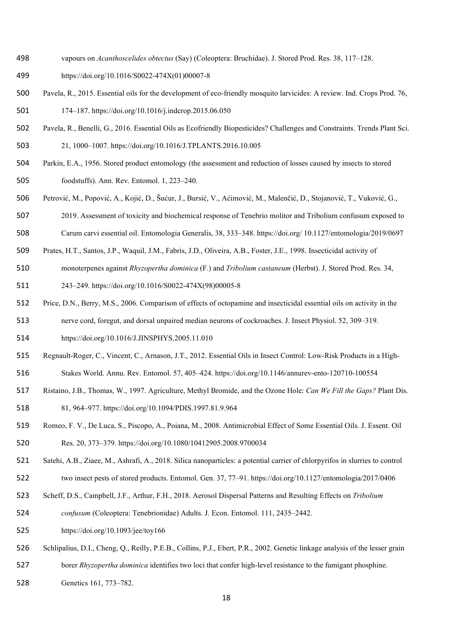- vapours on *Acanthoscelides obtectus* (Say) (Coleoptera: Bruchidae). J. Stored Prod. Res. 38, 117–128.
- https://doi.org/10.1016/S0022-474X(01)00007-8
- Pavela, R., 2015. Essential oils for the development of eco-friendly mosquito larvicides: A review. Ind. Crops Prod. 76, 174–187. https://doi.org/10.1016/j.indcrop.2015.06.050
- Pavela, R., Benelli, G., 2016. Essential Oils as Ecofriendly Biopesticides? Challenges and Constraints. Trends Plant Sci. 21, 1000–1007. https://doi.org/10.1016/J.TPLANTS.2016.10.005
- Parkin, E.A., 1956. Stored product entomology (the assessment and reduction of losses caused by insects to stored foodstuffs). Ann. Rev. Entomol. 1, 223–240.
- Petrović, M., Popović, A., Kojić, D., Šućur, J., Bursić, V., Aćimović, M., Malenčić, D., Stojanović, T., Vuković, G.,
- 2019. Assessment of toxicity and biochemical response of Tenebrio molitor and Tribolium confusum exposed to Carum carvi essential oil. Entomologia Generalis, 38, 333–348. https://doi.org/ 10.1127/entomologia/2019/0697
- Prates, H.T., Santos, J.P., Waquil, J.M., Fabris, J.D., Oliveira, A.B., Foster, J.E., 1998. Insecticidal activity of
- monoterpenes against *Rhyzopertha dominica* (F.) and *Tribolium castaneum* (Herbst). J. Stored Prod. Res. 34,
- 243–249. https://doi.org/10.1016/S0022-474X(98)00005-8
- Price, D.N., Berry, M.S., 2006. Comparison of effects of octopamine and insecticidal essential oils on activity in the
- nerve cord, foregut, and dorsal unpaired median neurons of cockroaches. J. Insect Physiol. 52, 309–319.
- https://doi.org/10.1016/J.JINSPHYS.2005.11.010
- Regnault-Roger, C., Vincent, C., Arnason, J.T., 2012. Essential Oils in Insect Control: Low-Risk Products in a High-
- Stakes World. Annu. Rev. Entomol. 57, 405–424. https://doi.org/10.1146/annurev-ento-120710-100554
- Ristaino, J.B., Thomas, W., 1997. Agriculture, Methyl Bromide, and the Ozone Hole: *Can We Fill the Gaps?* Plant Dis. 81, 964–977. https://doi.org/10.1094/PDIS.1997.81.9.964
- Romeo, F. V., De Luca, S., Piscopo, A., Poiana, M., 2008. Antimicrobial Effect of Some Essential Oils. J. Essent. Oil Res. 20, 373–379. https://doi.org/10.1080/10412905.2008.9700034
- Satehi, A.B., Ziaee, M., Ashrafi, A., 2018. Silica nanoparticles: a potential carrier of chlorpyrifos in slurries to control two insect pests of stored products. Entomol. Gen. 37, 77–91. https://doi.org/10.1127/entomologia/2017/0406
- Scheff, D.S., Campbell, J.F., Arthur, F.H., 2018. Aerosol Dispersal Patterns and Resulting Effects on *Tribolium*
- *confusum* (Coleoptera: Tenebrionidae) Adults. J. Econ. Entomol. 111, 2435–2442.
- https://doi.org/10.1093/jee/toy166
- Schlipalius, D.I., Cheng, Q., Reilly, P.E.B., Collins, P.J., Ebert, P.R., 2002. Genetic linkage analysis of the lesser grain borer *Rhyzopertha dominica* identifies two loci that confer high-level resistance to the fumigant phosphine.
- Genetics 161, 773–782.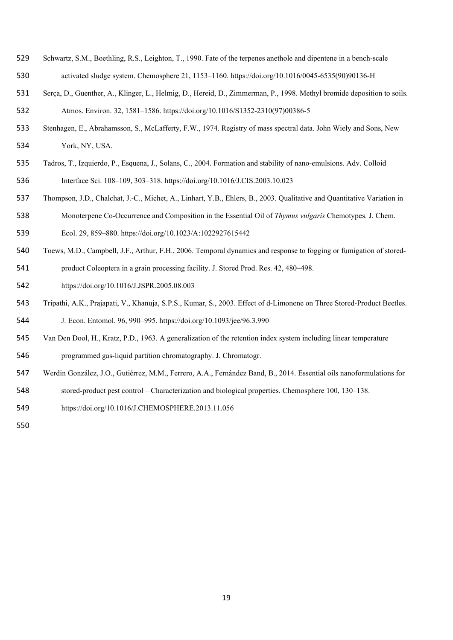- Schwartz, S.M., Boethling, R.S., Leighton, T., 1990. Fate of the terpenes anethole and dipentene in a bench-scale activated sludge system. Chemosphere 21, 1153–1160. https://doi.org/10.1016/0045-6535(90)90136-H
- Serça, D., Guenther, A., Klinger, L., Helmig, D., Hereid, D., Zimmerman, P., 1998. Methyl bromide deposition to soils. Atmos. Environ. 32, 1581–1586. https://doi.org/10.1016/S1352-2310(97)00386-5
- Stenhagen, E., Abrahamsson, S., McLafferty, F.W., 1974. Registry of mass spectral data. John Wiely and Sons, New York, NY, USA.
- Tadros, T., Izquierdo, P., Esquena, J., Solans, C., 2004. Formation and stability of nano-emulsions. Adv. Colloid Interface Sci. 108–109, 303–318. https://doi.org/10.1016/J.CIS.2003.10.023
- Thompson, J.D., Chalchat, J.-C., Michet, A., Linhart, Y.B., Ehlers, B., 2003. Qualitative and Quantitative Variation in
- Monoterpene Co-Occurrence and Composition in the Essential Oil of *Thymus vulgaris* Chemotypes. J. Chem.
- Ecol. 29, 859–880. https://doi.org/10.1023/A:1022927615442
- Toews, M.D., Campbell, J.F., Arthur, F.H., 2006. Temporal dynamics and response to fogging or fumigation of stored-
- product Coleoptera in a grain processing facility. J. Stored Prod. Res. 42, 480–498.
- https://doi.org/10.1016/J.JSPR.2005.08.003
- Tripathi, A.K., Prajapati, V., Khanuja, S.P.S., Kumar, S., 2003. Effect of d-Limonene on Three Stored-Product Beetles.
- J. Econ. Entomol. 96, 990–995. https://doi.org/10.1093/jee/96.3.990
- Van Den Dool, H., Kratz, P.D., 1963. A generalization of the retention index system including linear temperature programmed gas-liquid partition chromatography. J. Chromatogr.
- Werdin González, J.O., Gutiérrez, M.M., Ferrero, A.A., Fernández Band, B., 2014. Essential oils nanoformulations for
- stored-product pest control Characterization and biological properties. Chemosphere 100, 130–138.
- https://doi.org/10.1016/J.CHEMOSPHERE.2013.11.056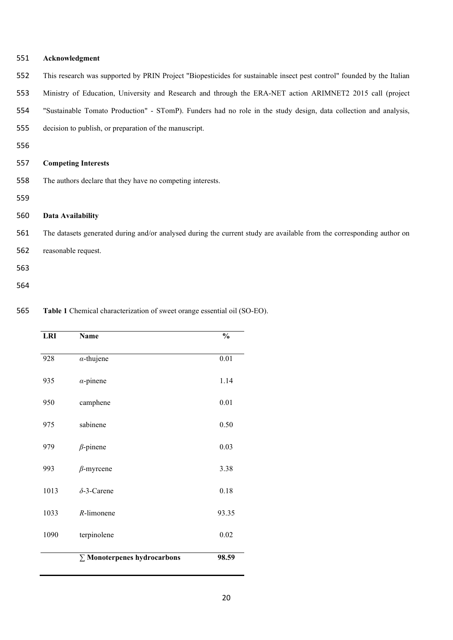| 551 | Acknowledgment                                                                                                         |
|-----|------------------------------------------------------------------------------------------------------------------------|
| 552 | This research was supported by PRIN Project "Biopesticides for sustainable insect pest control" founded by the Italian |
| 553 | Ministry of Education, University and Research and through the ERA-NET action ARIMNET2 2015 call (project              |
| 554 | "Sustainable Tomato Production" - STomP). Funders had no role in the study design, data collection and analysis,       |
| 555 | decision to publish, or preparation of the manuscript.                                                                 |
| 556 |                                                                                                                        |
| 557 | <b>Competing Interests</b>                                                                                             |
| 558 | The authors declare that they have no competing interests.                                                             |
| 559 |                                                                                                                        |
| 560 | Data Availability                                                                                                      |
| 561 | The datasets generated during and/or analysed during the current study are available from the corresponding author on  |
| 562 | reasonable request.                                                                                                    |
| 563 |                                                                                                                        |
| 564 |                                                                                                                        |

**Table 1** Chemical characterization of sweet orange essential oil (SO-EO).

| <b>LRI</b> | <b>Name</b>                        | $\frac{0}{0}$ |
|------------|------------------------------------|---------------|
| 928        | $\alpha$ -thujene                  | 0.01          |
| 935        | $\alpha$ -pinene                   | 1.14          |
| 950        | camphene                           | 0.01          |
| 975        | sabinene                           | 0.50          |
| 979        | $\beta$ -pinene                    | 0.03          |
| 993        | $\beta$ -myrcene                   | 3.38          |
| 1013       | $\delta$ -3-Carene                 | 0.18          |
| 1033       | $R$ -limonene                      | 93.35         |
| 1090       | terpinolene                        | 0.02          |
|            | $\Sigma$ Monoterpenes hydrocarbons | 98.59         |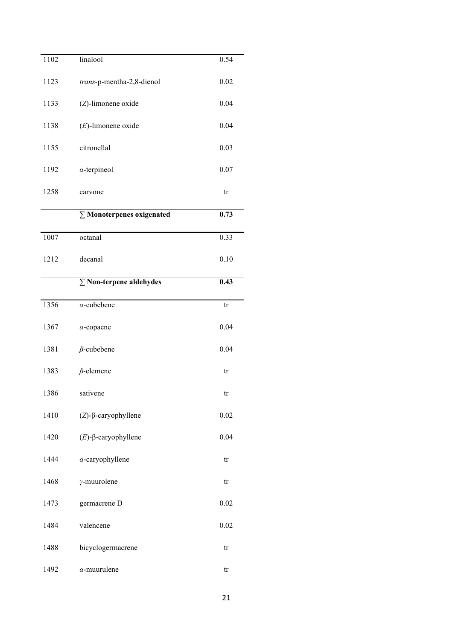| 1102 | linalool                         | 0.54 |
|------|----------------------------------|------|
| 1123 | trans-p-mentha-2,8-dienol        | 0.02 |
| 1133 | (Z)-limonene oxide               | 0.04 |
| 1138 | $(E)$ -limonene oxide            | 0.04 |
| 1155 | citronellal                      | 0.03 |
| 1192 | $\alpha$ -terpineol              | 0.07 |
| 1258 | carvone                          | tr   |
|      | $\Sigma$ Monoterpenes oxigenated | 0.73 |
| 1007 | octanal                          | 0.33 |
| 1212 | decanal                          | 0.10 |
|      | $\Sigma$ Non-terpene aldehydes   | 0.43 |
| 1356 | $\alpha$ -cubebene               | tr   |
| 1367 | $\alpha$ -copaene                | 0.04 |
| 1381 | $\beta$ -cubebene                | 0.04 |
| 1383 | $\beta$ -elemene                 | tr   |
| 1386 | sativene                         | tr   |
| 1410 | $(Z)$ -β-caryophyllene           | 0.02 |
| 1420 | $(E)$ -β-caryophyllene           | 0.04 |
| 1444 | $\alpha$ -caryophyllene          | tr   |
| 1468 | $\gamma$ -muurolene              | tr   |
| 1473 | germacrene D                     | 0.02 |
| 1484 | valencene                        | 0.02 |
| 1488 | bicyclogermacrene                | tr   |
| 1492 | $\alpha$ -muurulene              | tr   |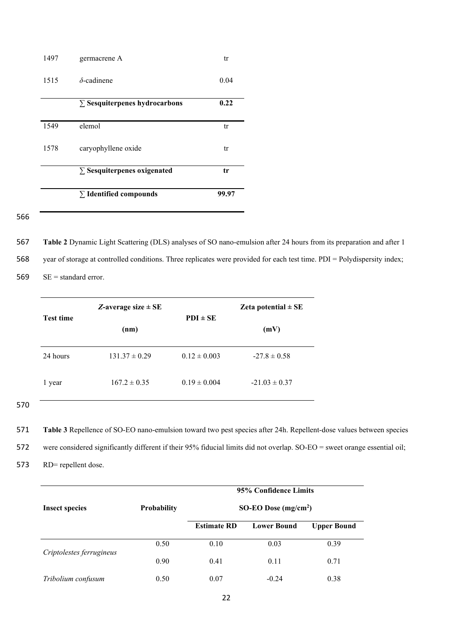|      | $\Sigma$ Identified compounds        | 99.97 |
|------|--------------------------------------|-------|
|      |                                      |       |
|      | $\Sigma$ Sesquiterpenes oxigenated   | tr    |
| 1578 | caryophyllene oxide                  | tr    |
| 1549 | elemol                               | tr    |
|      |                                      |       |
|      | $\Sigma$ Sesquiterpenes hydrocarbons | 0.22  |
| 1515 | $\delta$ -cadinene                   | 0.04  |
| 1497 | germacrene A                         | tr    |

566

567 **Table 2** Dynamic Light Scattering (DLS) analyses of SO nano-emulsion after 24 hours from its preparation and after 1 568 year of storage at controlled conditions. Three replicates were provided for each test time. PDI = Polydispersity index; 569 SE = standard error.

|                  | Z-average size $\pm$ SE | Zeta potential $\pm$ SE |                   |  |
|------------------|-------------------------|-------------------------|-------------------|--|
| <b>Test time</b> | (nm)                    | $PDI \pm SE$            | (mV)              |  |
| 24 hours         | $131.37 \pm 0.29$       | $0.12 \pm 0.003$        | $-27.8 \pm 0.58$  |  |
| 1 year           | $167.2 \pm 0.35$        | $0.19 \pm 0.004$        | $-21.03 \pm 0.37$ |  |

570

571 **Table 3** Repellence of SO-EO nano-emulsion toward two pest species after 24h. Repellent-dose values between species

572 were considered significantly different if their 95% fiducial limits did not overlap. SO-EO = sweet orange essential oil;

573 RD= repellent dose.

|                          | 95% Confidence Limits |                       |                    |                    |  |  |
|--------------------------|-----------------------|-----------------------|--------------------|--------------------|--|--|
| <b>Insect species</b>    | <b>Probability</b>    | SO-EO Dose $(mg/cm2)$ |                    |                    |  |  |
|                          |                       | <b>Estimate RD</b>    | <b>Lower Bound</b> | <b>Upper Bound</b> |  |  |
| Criptolestes ferrugineus | 0.50                  | 0.10                  | 0.03               | 0.39               |  |  |
|                          | 0.90                  | 0.41                  | 0.11               | 0.71               |  |  |
| Tribolium confusum       | 0.50                  | 0.07                  | $-0.24$            | 0.38               |  |  |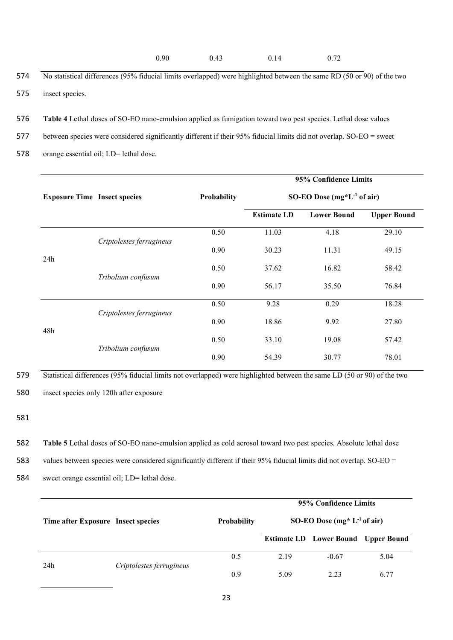- 574 No statistical differences (95% fiducial limits overlapped) were highlighted between the same RD (50 or 90) of the two 575 insect species.
- 576 **Table 4** Lethal doses of SO-EO nano-emulsion applied as fumigation toward two pest species. Lethal dose values
- 577 between species were considered significantly different if their 95% fiducial limits did not overlap. SO-EO = sweet
- 578 orange essential oil; LD= lethal dose.

|                                     |                          |                    | 95% Confidence Limits<br>SO-EO Dose $(mg^*L^{-1}$ of air) |                    |                    |  |
|-------------------------------------|--------------------------|--------------------|-----------------------------------------------------------|--------------------|--------------------|--|
| <b>Exposure Time Insect species</b> |                          | <b>Probability</b> |                                                           |                    |                    |  |
|                                     |                          |                    | <b>Estimate LD</b>                                        | <b>Lower Bound</b> | <b>Upper Bound</b> |  |
|                                     |                          | 0.50               | 11.03                                                     | 4.18               | 29.10              |  |
|                                     | Criptolestes ferrugineus | 0.90               | 30.23                                                     | 11.31              | 49.15              |  |
| 24h                                 |                          | 0.50               | 37.62                                                     | 16.82              | 58.42              |  |
|                                     | Tribolium confusum       | 0.90               | 56.17                                                     | 35.50              | 76.84              |  |
|                                     |                          | 0.50               | 9.28                                                      | 0.29               | 18.28              |  |
|                                     | Criptolestes ferrugineus | 0.90               | 18.86                                                     | 9.92               | 27.80              |  |
| 48h                                 | Tribolium confusum       | 0.50               | 33.10                                                     | 19.08              | 57.42              |  |
|                                     |                          | 0.90               | 54.39                                                     | 30.77              | 78.01              |  |

579 Statistical differences (95% fiducial limits not overlapped) were highlighted between the same LD (50 or 90) of the two

580 insect species only 120h after exposure

581

582 **Table 5** Lethal doses of SO-EO nano-emulsion applied as cold aerosol toward two pest species. Absolute lethal dose

583 values between species were considered significantly different if their 95% fiducial limits did not overlap. SO-EO =

584 sweet orange essential oil; LD= lethal dose.

|     |                                    |                    | 95% Confidence Limits            |                                            |      |
|-----|------------------------------------|--------------------|----------------------------------|--------------------------------------------|------|
|     | Time after Exposure Insect species | <b>Probability</b> | SO-EO Dose (mg* $L^{-1}$ of air) |                                            |      |
|     |                                    |                    |                                  | <b>Estimate LD</b> Lower Bound Upper Bound |      |
| 24h | Criptolestes ferrugineus           | 0.5                | 2.19                             | $-0.67$                                    | 5.04 |
|     |                                    | 0.9                | 5.09                             | 2.23                                       | 6.77 |